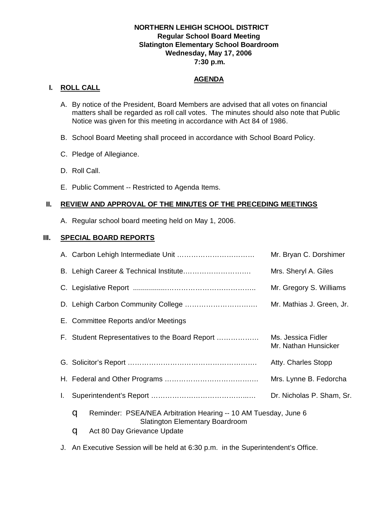## **NORTHERN LEHIGH SCHOOL DISTRICT Regular School Board Meeting Slatington Elementary School Boardroom Wednesday, May 17, 2006 7:30 p.m.**

# **AGENDA**

## **I. ROLL CALL**

- A. By notice of the President, Board Members are advised that all votes on financial matters shall be regarded as roll call votes. The minutes should also note that Public Notice was given for this meeting in accordance with Act 84 of 1986.
- B. School Board Meeting shall proceed in accordance with School Board Policy.
- C. Pledge of Allegiance.
- D. Roll Call.
- E. Public Comment -- Restricted to Agenda Items.

## **II. REVIEW AND APPROVAL OF THE MINUTES OF THE PRECEDING MEETINGS**

A. Regular school board meeting held on May 1, 2006.

## **III. SPECIAL BOARD REPORTS**

|    |                                                                                                                | Mr. Bryan C. Dorshimer                     |  |
|----|----------------------------------------------------------------------------------------------------------------|--------------------------------------------|--|
|    |                                                                                                                | Mrs. Sheryl A. Giles                       |  |
|    |                                                                                                                | Mr. Gregory S. Williams                    |  |
|    |                                                                                                                | Mr. Mathias J. Green, Jr.                  |  |
|    | E. Committee Reports and/or Meetings                                                                           |                                            |  |
|    | F. Student Representatives to the Board Report                                                                 | Ms. Jessica Fidler<br>Mr. Nathan Hunsicker |  |
|    |                                                                                                                | Atty. Charles Stopp                        |  |
|    |                                                                                                                | Mrs. Lynne B. Fedorcha                     |  |
| L. |                                                                                                                | Dr. Nicholas P. Sham, Sr.                  |  |
|    | Reminder: PSEA/NEA Arbitration Hearing -- 10 AM Tuesday, June 6<br>q<br><b>Slatington Elementary Boardroom</b> |                                            |  |
|    | Act 80 Day Grievance Update<br>q                                                                               |                                            |  |

J. An Executive Session will be held at 6:30 p.m. in the Superintendent's Office.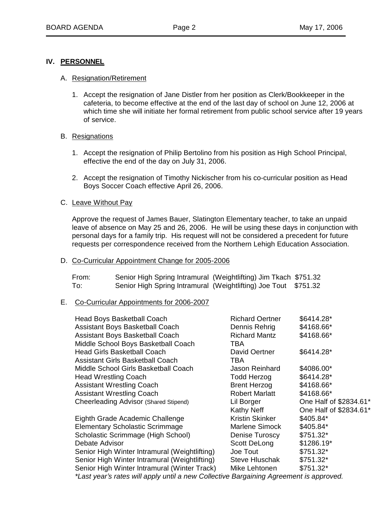## **IV. PERSONNEL**

#### A. Resignation/Retirement

1. Accept the resignation of Jane Distler from her position as Clerk/Bookkeeper in the cafeteria, to become effective at the end of the last day of school on June 12, 2006 at which time she will initiate her formal retirement from public school service after 19 years of service.

#### B. Resignations

- 1. Accept the resignation of Philip Bertolino from his position as High School Principal, effective the end of the day on July 31, 2006.
- 2. Accept the resignation of Timothy Nickischer from his co-curricular position as Head Boys Soccer Coach effective April 26, 2006.

## C. Leave Without Pay

Approve the request of James Bauer, Slatington Elementary teacher, to take an unpaid leave of absence on May 25 and 26, 2006. He will be using these days in conjunction with personal days for a family trip. His request will not be considered a precedent for future requests per correspondence received from the Northern Lehigh Education Association.

#### D. Co-Curricular Appointment Change for 2005-2006

| From: | Senior High Spring Intramural (Weightlifting) Jim Tkach \$751.32 |  |
|-------|------------------------------------------------------------------|--|
| To:   | Senior High Spring Intramural (Weightlifting) Joe Tout \$751.32  |  |

#### E. Co-Curricular Appointments for 2006-2007

| <b>Head Boys Basketball Coach</b>                                                     | <b>Richard Oertner</b> | \$6414.28*             |
|---------------------------------------------------------------------------------------|------------------------|------------------------|
| Assistant Boys Basketball Coach                                                       | Dennis Rehrig          | \$4168.66*             |
| Assistant Boys Basketball Coach                                                       | <b>Richard Mantz</b>   | \$4168.66*             |
| Middle School Boys Basketball Coach                                                   | TBA                    |                        |
| <b>Head Girls Basketball Coach</b>                                                    | David Oertner          | \$6414.28*             |
| <b>Assistant Girls Basketball Coach</b>                                               | TBA                    |                        |
| Middle School Girls Basketball Coach                                                  | Jason Reinhard         | \$4086.00*             |
| <b>Head Wrestling Coach</b>                                                           | Todd Herzog            | \$6414.28*             |
| <b>Assistant Wrestling Coach</b>                                                      | <b>Brent Herzog</b>    | \$4168.66*             |
| <b>Assistant Wrestling Coach</b>                                                      | <b>Robert Marlatt</b>  | \$4168.66*             |
| Cheerleading Advisor (Shared Stipend)                                                 | Lil Borger             | One Half of \$2834.61* |
|                                                                                       | Kathy Neff             | One Half of \$2834.61* |
| Eighth Grade Academic Challenge                                                       | Kristin Skinker        | \$405.84*              |
| <b>Elementary Scholastic Scrimmage</b>                                                | Marlene Simock         | \$405.84*              |
| Scholastic Scrimmage (High School)                                                    | Denise Turoscy         | \$751.32*              |
| Debate Advisor                                                                        | <b>Scott DeLong</b>    | \$1286.19*             |
| Senior High Winter Intramural (Weightlifting)                                         | Joe Tout               | \$751.32*              |
| Senior High Winter Intramural (Weightlifting)                                         | <b>Steve Hluschak</b>  | \$751.32*              |
| Senior High Winter Intramural (Winter Track)                                          | Mike Lehtonen          | $$751.32*$             |
| *Last vear's rates will apply until a new Collective Rargaining Agreement is approved |                        |                        |

*\*Last year¶s rates will apply until a new Collective Bargaining Agreement is approved.*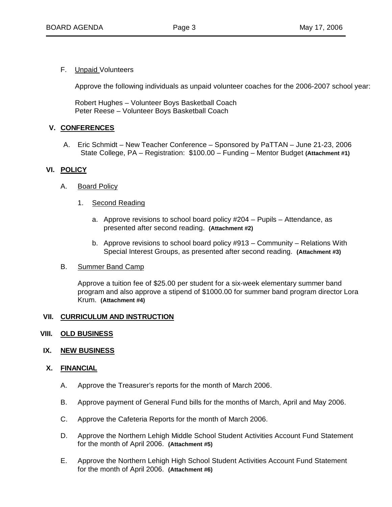F. Unpaid Volunteers

Approve the following individuals as unpaid volunteer coaches for the 2006-2007 school year:

 Robert Hughes – Volunteer Boys Basketball Coach Peter Reese – Volunteer Boys Basketball Coach

## **V. CONFERENCES**

A. Eric Schmidt – New Teacher Conference – Sponsored by PaTTAN – June 21-23, 2006 State College, PA – Registration: \$100.00 – Funding – Mentor Budget **(Attachment #1)**

## **VI. POLICY**

- A. Board Policy
	- 1. Second Reading
		- a. Approve revisions to school board policy #204 Pupils Attendance, as presented after second reading. **(Attachment #2)**
		- b. Approve revisions to school board policy #913 Community Relations With Special Interest Groups, as presented after second reading. **(Attachment #3)**
- B. Summer Band Camp

Approve a tuition fee of \$25.00 per student for a six-week elementary summer band program and also approve a stipend of \$1000.00 for summer band program director Lora Krum. **(Attachment #4)**

### **VII. CURRICULUM AND INSTRUCTION**

#### **VIII. OLD BUSINESS**

**IX. NEW BUSINESS**

## **X. FINANCIAL**

- A. Approve the Treasurer's reports for the month of March 2006.
- B. Approve payment of General Fund bills for the months of March, April and May 2006.
- C. Approve the Cafeteria Reports for the month of March 2006.
- D. Approve the Northern Lehigh Middle School Student Activities Account Fund Statement for the month of April 2006. **(Attachment #5)**
- E. Approve the Northern Lehigh High School Student Activities Account Fund Statement for the month of April 2006. **(Attachment #6)**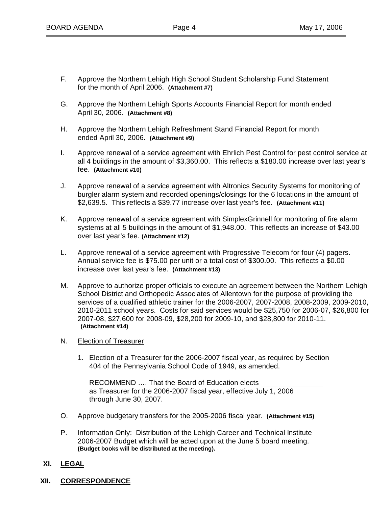- F. Approve the Northern Lehigh High School Student Scholarship Fund Statement for the month of April 2006. **(Attachment #7)**
- G. Approve the Northern Lehigh Sports Accounts Financial Report for month ended April 30, 2006. **(Attachment #8)**
- H. Approve the Northern Lehigh Refreshment Stand Financial Report for month ended April 30, 2006. **(Attachment #9)**
- I. Approve renewal of a service agreement with Ehrlich Pest Control for pest control service at all 4 buildings in the amount of \$3,360.00. This reflects a \$180.00 increase over last year's fee. **(Attachment #10)**
- J. Approve renewal of a service agreement with Altronics Security Systems for monitoring of burgler alarm system and recorded openings/closings for the 6 locations in the amount of \$2,639.5. This reflects a \$39.77 increase over last year's fee. **(Attachment #11)**
- K. Approve renewal of a service agreement with SimplexGrinnell for monitoring of fire alarm systems at all 5 buildings in the amount of \$1,948.00. This reflects an increase of \$43.00 over last year's fee. **(Attachment #12)**
- L. Approve renewal of a service agreement with Progressive Telecom for four (4) pagers. Annual service fee is \$75.00 per unit or a total cost of \$300.00. This reflects a \$0.00 increase over last year's fee. **(Attachment #13)**
- M. Approve to authorize proper officials to execute an agreement between the Northern Lehigh School District and Orthopedic Associates of Allentown for the purpose of providing the services of a qualified athletic trainer for the 2006-2007, 2007-2008, 2008-2009, 2009-2010, 2010-2011 school years. Costs for said services would be \$25,750 for 2006-07, \$26,800 for 2007-08, \$27,600 for 2008-09, \$28,200 for 2009-10, and \$28,800 for 2010-11. **(Attachment #14)**
- N. Election of Treasurer
	- 1. Election of a Treasurer for the 2006-2007 fiscal year, as required by Section 404 of the Pennsylvania School Code of 1949, as amended.

 RECOMMEND …. That the Board of Education elects as Treasurer for the 2006-2007 fiscal year, effective July 1, 2006 through June 30, 2007.

- O. Approve budgetary transfers for the 2005-2006 fiscal year. **(Attachment #15)**
- P. Information Only: Distribution of the Lehigh Career and Technical Institute 2006-2007 Budget which will be acted upon at the June 5 board meeting. **(Budget books will be distributed at the meeting).**
- **XI. LEGAL**
- **XII. CORRESPONDENCE**